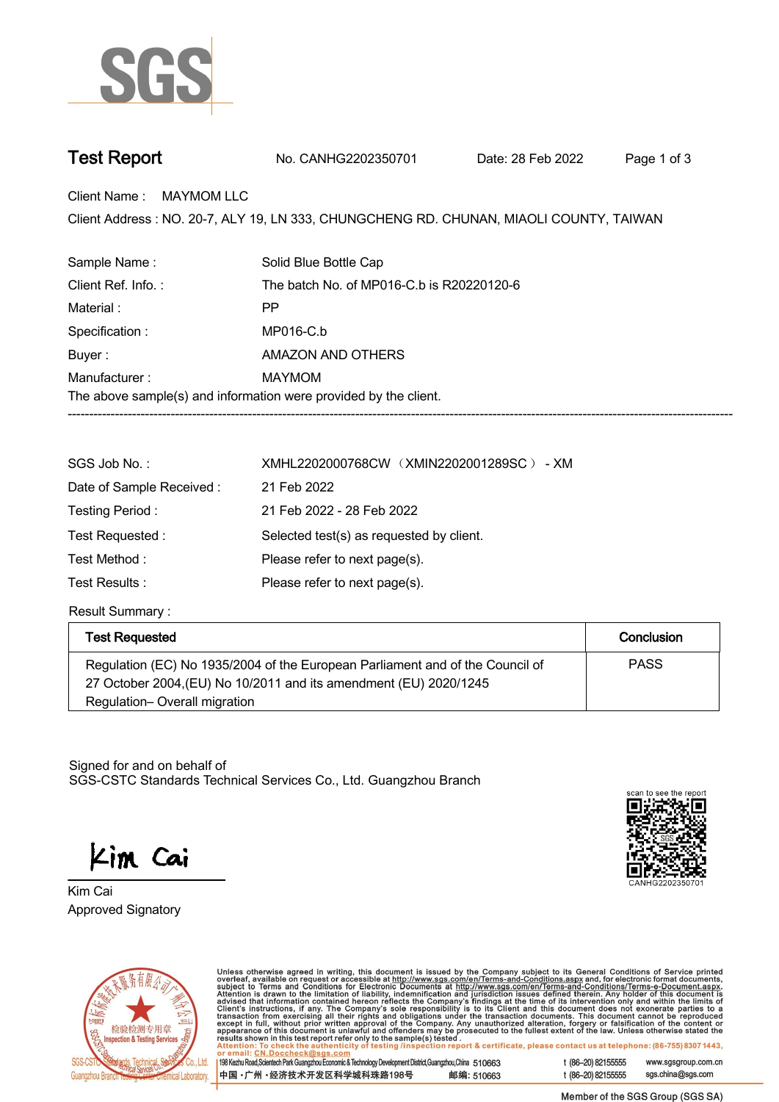

**Test Report. No. CANHG2202350701 . Date: 28 Feb 2022. Page 1 of 3.**

**Client Name : MAYMOM LLC.**

Client Address : NO. 20-7, ALY 19, LN 333, CHUNGCHENG RD. CHUNAN, MIAOLI COUNTY, TAIWAN<br>.

| Sample Name:                                                     | Solid Blue Bottle Cap                     |  |  |  |
|------------------------------------------------------------------|-------------------------------------------|--|--|--|
| Client Ref. Info.:                                               | The batch No. of MP016-C.b is R20220120-6 |  |  |  |
| Material:                                                        | РP                                        |  |  |  |
| Specification :                                                  | MP016-C.b                                 |  |  |  |
| Buyer:                                                           | AMAZON AND OTHERS                         |  |  |  |
| Manufacturer:                                                    | MAYMOM                                    |  |  |  |
| The above sample(s) and information were provided by the client. |                                           |  |  |  |
|                                                                  |                                           |  |  |  |

| SGS Job No.:             | XMHL2202000768CW (XMIN2202001289SC) - XM |  |  |
|--------------------------|------------------------------------------|--|--|
| Date of Sample Received: | 21 Feb 2022                              |  |  |
| Testing Period :         | 21 Feb 2022 - 28 Feb 2022                |  |  |
| Test Requested:          | Selected test(s) as requested by client. |  |  |
| Test Method :            | Please refer to next page(s).            |  |  |
| Test Results :           | Please refer to next page(s).            |  |  |

**Result Summary :.**

| Test Requested                                                                                                                                     | Conclusion  |
|----------------------------------------------------------------------------------------------------------------------------------------------------|-------------|
| Regulation (EC) No 1935/2004 of the European Parliament and of the Council of<br>27 October 2004, (EU) No 10/2011 and its amendment (EU) 2020/1245 | <b>PASS</b> |
| Regulation-Overall migration                                                                                                                       |             |

Signed for and on behalf of SGS-CSTC Standards Technical Services Co., Ltd. Guangzhou Branch.

Kim Cai

**Approved Signatory . . . Kim Cai.**





Unless otherwise agreed in writing, this document is issued by the Company subject to its General Conditions of Service printed overleaf, available on request or accessible at http://www.sgs.com/en/Terms-and-Conditions.as

198 Kezhu Road, Scientech Park Guangzhou Economic & Technology Development District, Guangzhou, China 510663 中国·广州·经济技术开发区科学城科珠路198号 邮编: 510663 t (86-20) 82155555 www.sgsgroup.com.cn t (86-20) 82155555 sgs.china@sgs.com

Member of the SGS Group (SGS SA)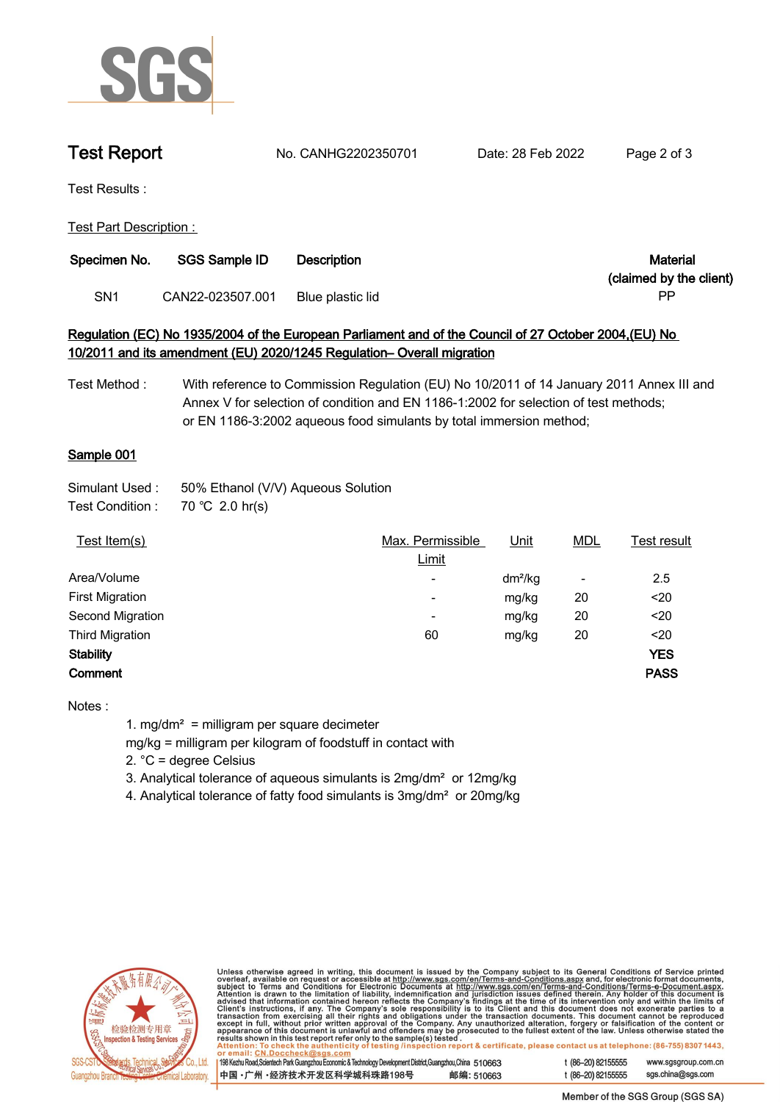

**Test Report. No. CANHG2202350701 . Date: 28 Feb 2022. Page 2 of 3.**

**Test Results :.**

**Test Part Description : .**

| Specimen No.    | <b>SGS Sample ID</b> | Material<br><b>Description</b> |                         |
|-----------------|----------------------|--------------------------------|-------------------------|
|                 |                      |                                | (claimed by the client) |
| SN <sub>1</sub> | CAN22-023507.001     | Blue plastic lid               | PP                      |

# **Regulation (EC) No 1935/2004 of the European Parliament and of the Council of 27 October 2004,(EU) No 10/2011 and its amendment (EU) 2020/1245 Regulation– Overall migration**

**Test Method : With reference to Commission Regulation (EU) No 10/2011 of 14 January 2011 Annex III and Annex V for selection of condition and EN 1186-1:2002 for selection of test methods; or EN 1186-3:2002 aqueous food simulants by total immersion method;**

# **Sample 001.**

| Simulant Used : | 50% Ethanol (V/V) Aqueous Solution |  |
|-----------------|------------------------------------|--|
|-----------------|------------------------------------|--|

**Test Condition :. 70.℃ 2.0.hr(s).**

| Test Item(s)           | Max. Permissible         | <u>Unit</u> | <u>MDL</u>               | Test result |
|------------------------|--------------------------|-------------|--------------------------|-------------|
|                        | Limit                    |             |                          |             |
| Area/Volume            | $\overline{\phantom{a}}$ | $dm^2/kg$   | $\overline{\phantom{a}}$ | 2.5         |
| <b>First Migration</b> | ۰                        | mg/kg       | 20                       | $20$        |
| Second Migration       | ٠                        | mg/kg       | 20                       | $20$        |
| <b>Third Migration</b> | 60                       | mg/kg       | 20                       | $20$        |
| <b>Stability</b>       |                          |             |                          | <b>YES</b>  |
| Comment                |                          |             |                          | <b>PASS</b> |
|                        |                          |             |                          |             |

**Notes :**

**1. mg/dm² = milligram per square decimeter**

**mg/kg = milligram per kilogram of foodstuff in contact with**

**2. °C = degree Celsius**

**3. Analytical tolerance of aqueous simulants is 2mg/dm² or 12mg/kg**

**4. Analytical tolerance of fatty food simulants is 3mg/dm² or 20mg/kg .**



Unless otherwise agreed in writing, this document is issued by the Company subject to its General Conditions of Service printed overleaf, available on request or accessible at http://www.sgs.com/en/Terms-and-Conditions.as

198 Kezhu Road, Scientech Park Guangzhou Economic & Technology Development District, Guangzhou, China 510663 中国·广州·经济技术开发区科学城科珠路198号 邮编: 510663 t (86-20) 82155555 t (86-20) 82155555 sgs.china@sgs.com

www.sgsgroup.com.cn